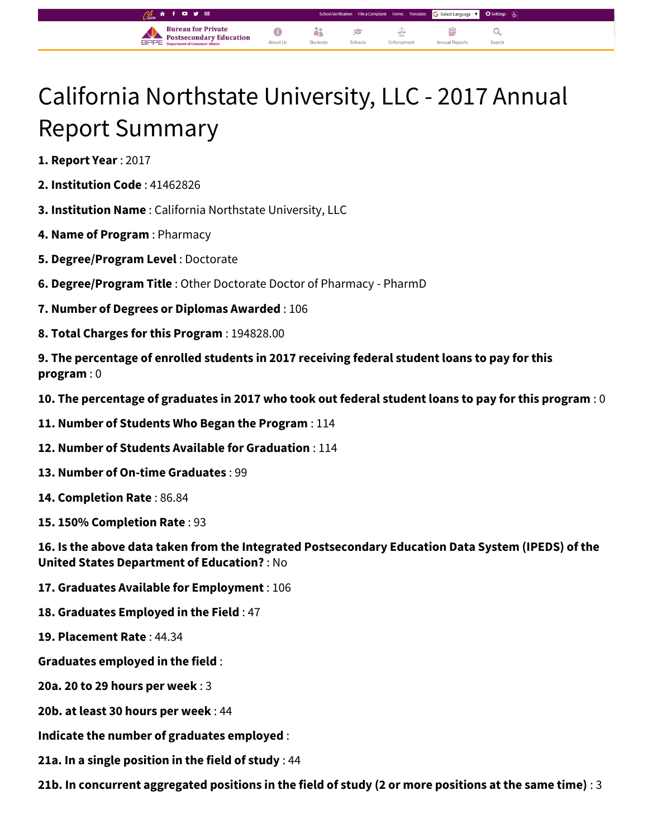# California Northstate University, LLC - 2017 Annual Report Summary

òi

P

 $\bullet$ 

About Us

Select Language |  $\blacktriangledown$ 

Q

自

**Annual Repor** 

⊄

Enforcemen

**1. Report Year** : 2017

- **2. Institution Code** : 41462826
- **3. Institution Name** : California Northstate University, LLC

**Bureau for Private** 

**Postsecondary Education** 

- **4. Name of Program** : Pharmacy
- **5. Degree/Program Level** : Doctorate
- **6. Degree/Program Title** : Other Doctorate Doctor of Pharmacy PharmD
- **7. Number of Degrees or Diplomas Awarded** : 106
- **8. Total Charges for this Program** : 194828.00
- **9. The percentage of enrolled students in 2017 receiving federal student loans to pay for this program** : 0
- **10. The percentage of graduates in 2017 who took out federal student loans to pay for this program** : 0
- **11. Number of Students Who Began the Program** : 114
- **12. Number of Students Available for Graduation** : 114
- **13. Number of On-time Graduates** : 99
- **14. Completion Rate** : 86.84
- **15. 150% Completion Rate** : 93

**16. Is the above data taken from the Integrated Postsecondary Education Data System (IPEDS) of the United States Department of Education?** : No

- **17. Graduates Available for Employment** : 106
- **18. Graduates Employed in the Field** : 47
- **19. Placement Rate** : 44.34
- **Graduates employed in the field** :
- **20a. 20 to 29 hours per week** : 3
- **20b. at least 30 hours per week** : 44
- **Indicate the number of graduates employed** :
- **21a. In a single position in the field of study** : 44

**21b. In concurrent aggregated positions in the field of study (2 or more positions at the same time)** : 3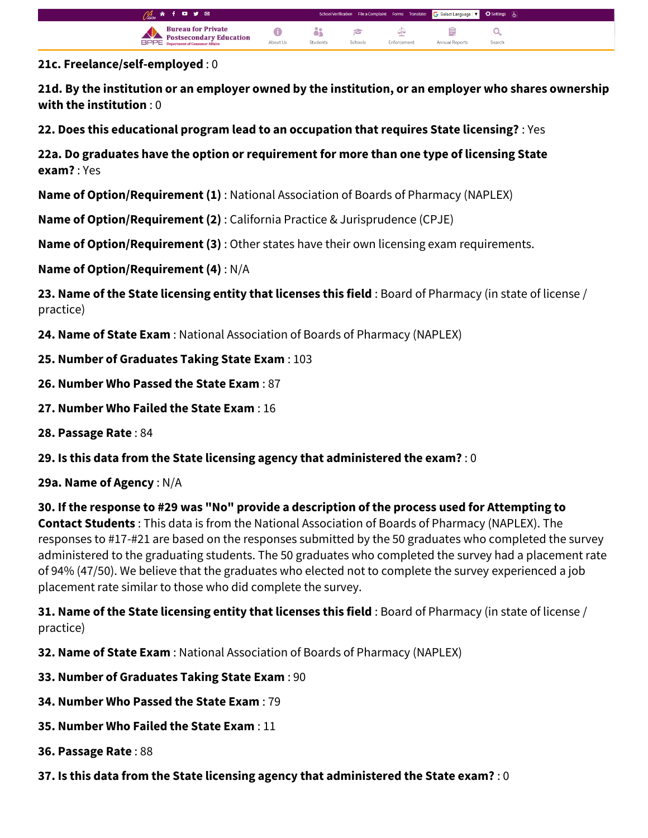| $\mathscr{O}_{\mathscr{C}\!\mathscr{A}}$ a for your                                                       |          |          |                |             | School Verification File a Complaint Forms Translate: C Select Language   7   C Settings   6 |        |
|-----------------------------------------------------------------------------------------------------------|----------|----------|----------------|-------------|----------------------------------------------------------------------------------------------|--------|
| <b>Bureau for Private</b><br><b>POStsecondary Education</b><br><b>EPPE Department of Consumer Affairs</b> | About Us | Students | <b>Schools</b> | Enforcement | <b>Annual Reports</b>                                                                        | Search |

**21c. Freelance/self-employed** : 0

Г

**21d. By the institution or an employer owned by the institution, or an employer who shares ownership with the institution** : 0

**22. Does this educational program lead to an occupation that requires State licensing?** : Yes

**22a. Do graduates have the option or requirement for more than one type of licensing State exam?** : Yes

**Name of Option/Requirement (1)** : National Association of Boards of Pharmacy (NAPLEX)

**Name of Option/Requirement (2)** : California Practice & Jurisprudence (CPJE)

**Name of Option/Requirement (3)** : Other states have their own licensing exam requirements.

**Name of Option/Requirement (4)** : N/A

**23. Name of the State licensing entity that licenses this field** : Board of Pharmacy (in state of license / practice)

**24. Name of State Exam** : National Association of Boards of Pharmacy (NAPLEX)

- **25. Number of Graduates Taking State Exam** : 103
- **26. Number Who Passed the State Exam** : 87
- **27. Number Who Failed the State Exam** : 16
- **28. Passage Rate** : 84

**29. Is this data from the State licensing agency that administered the exam?** : 0

**29a. Name of Agency** : N/A

**30. If the response to #29 was "No" provide a description of the process used for Attempting to Contact Students** : This data is from the National Association of Boards of Pharmacy (NAPLEX). The responses to #17-#21 are based on the responses submitted by the 50 graduates who completed the survey administered to the graduating students. The 50 graduates who completed the survey had a placement rate of 94% (47/50). We believe that the graduates who elected not to complete the survey experienced a job placement rate similar to those who did complete the survey.

**31. Name of the State licensing entity that licenses this field** : Board of Pharmacy (in state of license / practice)

**32. Name of State Exam** : National Association of Boards of Pharmacy (NAPLEX)

- **33. Number of Graduates Taking State Exam** : 90
- **34. Number Who Passed the State Exam** : 79
- **35. Number Who Failed the State Exam** : 11
- **36. Passage Rate** : 88
- **37. Is this data from the State licensing agency that administered the State exam?** : 0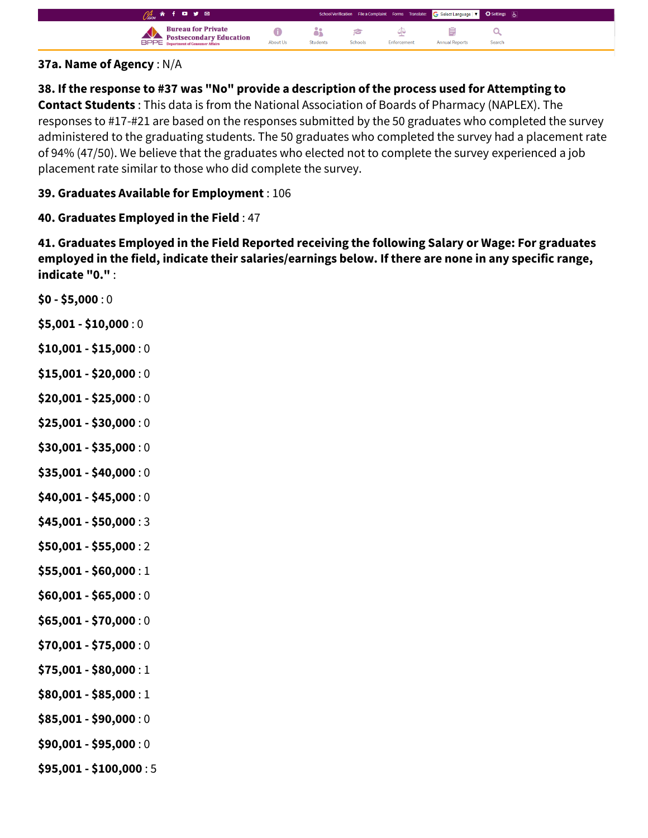| $\mathcal{O}_{\mathsf{cov}}$ a for y $\boxtimes$                                                              |          |          |         |             | School Verification File a Complaint Forms Translate: G Select Language   T C Settings   G |        |
|---------------------------------------------------------------------------------------------------------------|----------|----------|---------|-------------|--------------------------------------------------------------------------------------------|--------|
| <b>Bureau for Private</b><br><b>AVA</b> Postsecondary Education<br><b>BPPE</b> Department of Consumer Affairs | About Us | Students | Schools | Enforcement | <b>Annual Reports</b>                                                                      | Search |

#### **37a. Name of Agency** : N/A

#### **38. If the response to #37 was "No" provide a description of the process used for Attempting to**

**Contact Students** : This data is from the National Association of Boards of Pharmacy (NAPLEX). The responses to #17-#21 are based on the responses submitted by the 50 graduates who completed the survey administered to the graduating students. The 50 graduates who completed the survey had a placement rate of 94% (47/50). We believe that the graduates who elected not to complete the survey experienced a job placement rate similar to those who did complete the survey.

## **39. Graduates Available for Employment** : 106

## **40. Graduates Employed in the Field** : 47

**41. Graduates Employed in the Field Reported receiving the following Salary or Wage: For graduates employed in the field, indicate their salaries/earnings below. If there are none in any specific range, indicate "0."** :

**\$0 - \$5,000** : 0 **\$5,001 - \$10,000** : 0 **\$10,001 - \$15,000** : 0 **\$15,001 - \$20,000** : 0 **\$20,001 - \$25,000** : 0 **\$25,001 - \$30,000** : 0 **\$30,001 - \$35,000** : 0 **\$35,001 - \$40,000** : 0 **\$40,001 - \$45,000** : 0 **\$45,001 - \$50,000** : 3 **\$50,001 - \$55,000** : 2 **\$55,001 - \$60,000** : 1 **\$60,001 - \$65,000** : 0 **\$65,001 - \$70,000** : 0 **\$70,001 - \$75,000** : 0 **\$75,001 - \$80,000** : 1 **\$80,001 - \$85,000** : 1 **\$85,001 - \$90,000** : 0 **\$90,001 - \$95,000** : 0 **\$95,001 - \$100,000** : 5